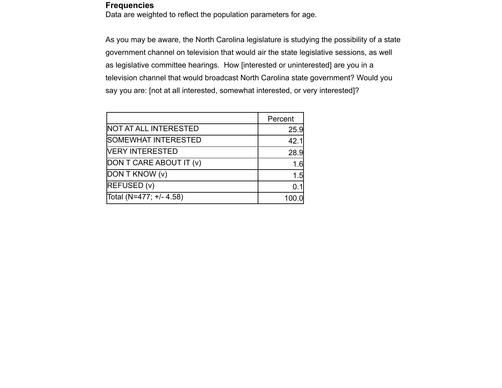## **Frequencies**

Data are weighted to reflect the population parameters for age.

As you may be aware, the North Carolina legislature is studying the possibility of a state government channel on television that would air the state legislative sessions, as well as legislative committee hearings. How [interested or uninterested] are you in a television channel that would broadcast North Carolina state government? Would you say you are: [not at all interested, somewhat interested, or very interested]?

|                              | Percent |
|------------------------------|---------|
| <b>NOT AT ALL INTERESTED</b> | 25.9    |
| <b>SOMEWHAT INTERESTED</b>   | 42.1    |
| <b>VERY INTERESTED</b>       | 28.9    |
| DON T CARE ABOUT IT (v)      | 1.6     |
| DON T KNOW (v)               | 1.5     |
| <b>REFUSED (v)</b>           |         |
| Total (N=477; +/- 4.58)      | 100     |